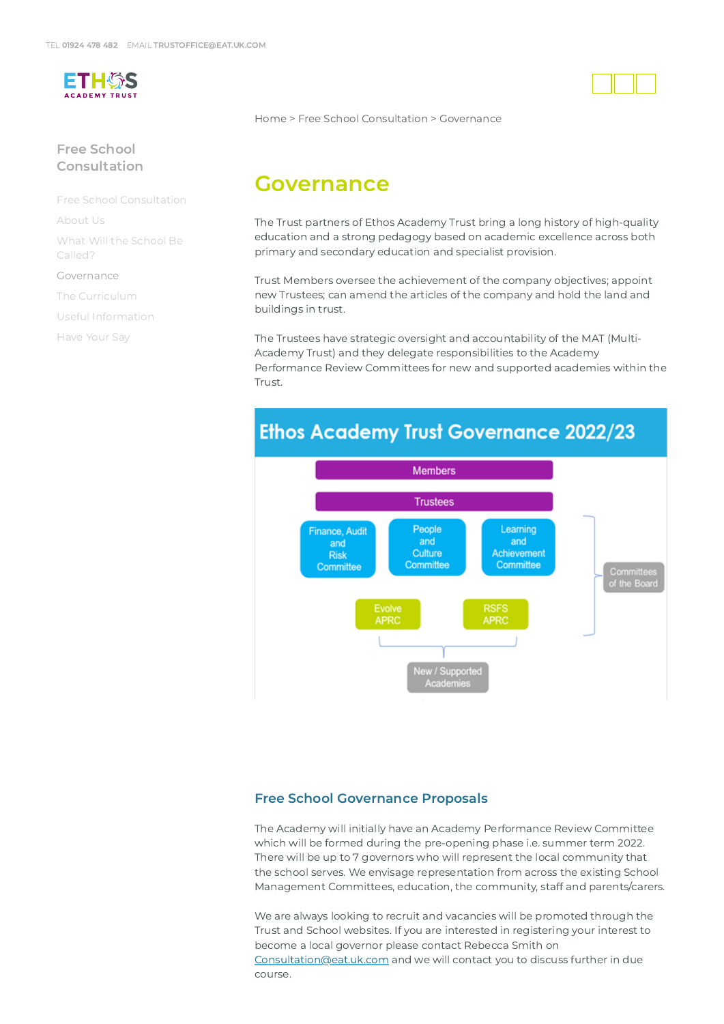

### Free School [Consultation](https://www.eat.uk.com/free-school-consultation/)

Free School [Consultation](https://www.eat.uk.com/free-school-consultation/)

[About](https://www.eat.uk.com/free-school-consultation/about-us/) Us

What Will the School Be [Called?](https://www.eat.uk.com/free-school-consultation/what-will-the-school-be-called/)

#### [Governance](https://www.eat.uk.com/free-school-consultation/governance/)

The [Curriculum](https://www.eat.uk.com/free-school-consultation/the-curriculum/)

Useful [Information](https://www.eat.uk.com/free-school-consultation/useful-information/)

[Have](https://www.eat.uk.com/free-school-consultation/have-your-say/) Your Say

[Home](https://www.eat.uk.com/) > Free School [Consultation](https://www.eat.uk.com/free-school-consultation/) > Governance

# Governance

The Trust partners of Ethos Academy Trust bring a long history of high-quality education and a strong pedagogy based on academic excellence across both primary and secondary education and specialist provision.

Trust Members oversee the achievement of the company objectives; appoint new Trustees; can amend the articles of the company and hold the land and buildings in trust.

The Trustees have strategic oversight and accountability of the MAT (Multi-Academy Trust) and they delegate responsibilities to the Academy Performance Review Committees for new and supported academies within the Trust.

## **Ethos Academy Trust Governance 2022/23**



#### Free School Governance Proposals

The Academy will initially have an Academy Performance Review Committee which will be formed during the pre-opening phase i.e. summer term 2022. There will be up to 7 governors who will represent the local community that the school serves. We envisage representation from across the existing School Management Committees, education, the community, staff and parents/carers.

We are always looking to recruit and vacancies will be promoted through the Trust and School websites. If you are interested in registering your interest to become a local governor please contact Rebecca Smith on [Consultation@eat.uk.com](mailto:Consultation@eat.uk.com) and we will contact you to discuss further in due course.